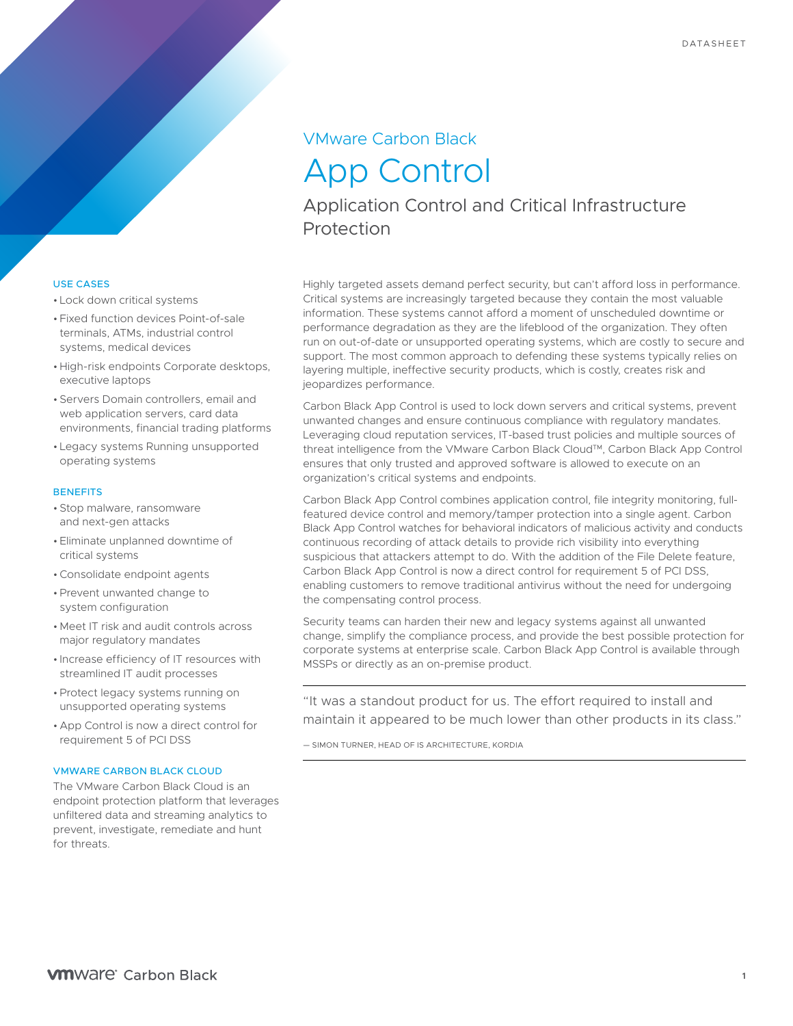## VMware Carbon Black

# App Control

Application Control and Critical Infrastructure Protection

## USE CASES

- Lock down critical systems
- Fixed function devices Point-of-sale terminals, ATMs, industrial control systems, medical devices
- High-risk endpoints Corporate desktops, executive laptops
- Servers Domain controllers, email and web application servers, card data environments, financial trading platforms
- Legacy systems Running unsupported operating systems

#### **BENEFITS**

- Stop malware, ransomware and next-gen attacks
- Eliminate unplanned downtime of critical systems
- •Consolidate endpoint agents
- Prevent unwanted change to system configuration
- Meet IT risk and audit controls across major regulatory mandates
- Increase efficiency of IT resources with streamlined IT audit processes
- Protect legacy systems running on unsupported operating systems
- App Control is now a direct control for requirement 5 of PCI DSS

## VMWARE CARBON BLACK CLOUD

The VMware Carbon Black Cloud is an endpoint protection platform that leverages unfiltered data and streaming analytics to prevent, investigate, remediate and hunt for threats.

Highly targeted assets demand perfect security, but can't afford loss in performance. Critical systems are increasingly targeted because they contain the most valuable information. These systems cannot afford a moment of unscheduled downtime or performance degradation as they are the lifeblood of the organization. They often run on out-of-date or unsupported operating systems, which are costly to secure and support. The most common approach to defending these systems typically relies on layering multiple, ineffective security products, which is costly, creates risk and jeopardizes performance.

Carbon Black App Control is used to lock down servers and critical systems, prevent unwanted changes and ensure continuous compliance with regulatory mandates. Leveraging cloud reputation services, IT-based trust policies and multiple sources of threat intelligence from the VMware Carbon Black Cloud™, Carbon Black App Control ensures that only trusted and approved software is allowed to execute on an organization's critical systems and endpoints.

Carbon Black App Control combines application control, file integrity monitoring, fullfeatured device control and memory/tamper protection into a single agent. Carbon Black App Control watches for behavioral indicators of malicious activity and conducts continuous recording of attack details to provide rich visibility into everything suspicious that attackers attempt to do. With the addition of the File Delete feature, Carbon Black App Control is now a direct control for requirement 5 of PCI DSS, enabling customers to remove traditional antivirus without the need for undergoing the compensating control process.

Security teams can harden their new and legacy systems against all unwanted change, simplify the compliance process, and provide the best possible protection for corporate systems at enterprise scale. Carbon Black App Control is available through MSSPs or directly as an on-premise product.

"It was a standout product for us. The effort required to install and maintain it appeared to be much lower than other products in its class."

— SIMON TURNER, HEAD OF IS ARCHITECTURE, KORDIA